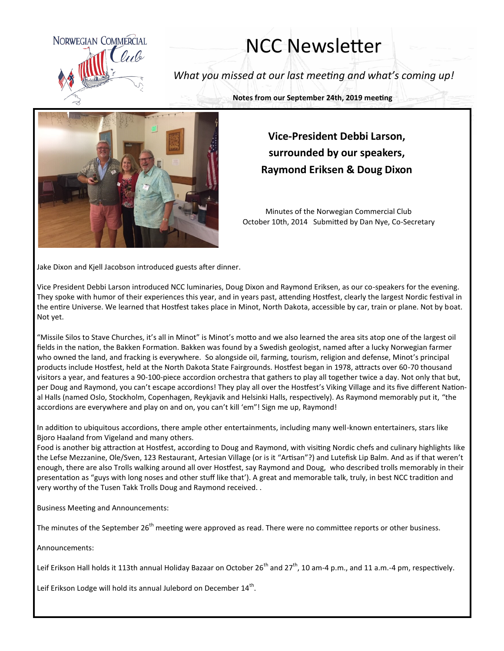

## NCC Newsletter

*What you missed at our last meeting and what's coming up!*

**Notes from our September 24th, 2019 meeting**



## **Vice-President Debbi Larson, surrounded by our speakers, Raymond Eriksen & Doug Dixon**

Minutes of the Norwegian Commercial Club October 10th, 2014 Submitted by Dan Nye, Co-Secretary

Jake Dixon and Kjell Jacobson introduced guests after dinner.

Vice President Debbi Larson introduced NCC luminaries, Doug Dixon and Raymond Eriksen, as our co-speakers for the evening. They spoke with humor of their experiences this year, and in years past, attending Hostfest, clearly the largest Nordic festival in the entire Universe. We learned that Hostfest takes place in Minot, North Dakota, accessible by car, train or plane. Not by boat. Not yet.

"Missile Silos to Stave Churches, it's all in Minot" is Minot's motto and we also learned the area sits atop one of the largest oil fields in the nation, the Bakken Formation. Bakken was found by a Swedish geologist, named after a lucky Norwegian farmer who owned the land, and fracking is everywhere. So alongside oil, farming, tourism, religion and defense, Minot's principal products include Hostfest, held at the North Dakota State Fairgrounds. Hostfest began in 1978, attracts over 60-70 thousand visitors a year, and features a 90-100-piece accordion orchestra that gathers to play all together twice a day. Not only that but, per Doug and Raymond, you can't escape accordions! They play all over the Hostfest's Viking Village and its five different National Halls (named Oslo, Stockholm, Copenhagen, Reykjavik and Helsinki Halls, respectively). As Raymond memorably put it, "the accordions are everywhere and play on and on, you can't kill 'em"! Sign me up, Raymond!

In addition to ubiquitous accordions, there ample other entertainments, including many well-known entertainers, stars like Bjoro Haaland from Vigeland and many others.

Food is another big attraction at Hostfest, according to Doug and Raymond, with visiting Nordic chefs and culinary highlights like the Lefse Mezzanine, Ole/Sven, 123 Restaurant, Artesian Village (or is it "Artisan"?) and Lutefisk Lip Balm. And as if that weren't enough, there are also Trolls walking around all over Hostfest, say Raymond and Doug, who described trolls memorably in their presentation as "guys with long noses and other stuff like that'). A great and memorable talk, truly, in best NCC tradition and very worthy of the Tusen Takk Trolls Doug and Raymond received. .

Business Meeting and Announcements:

The minutes of the September 26<sup>th</sup> meeting were approved as read. There were no committee reports or other business.

Announcements:

Leif Erikson Hall holds it 113th annual Holiday Bazaar on October 26<sup>th</sup> and 27<sup>th</sup>, 10 am-4 p.m., and 11 a.m.-4 pm, respectively.

Leif Erikson Lodge will hold its annual Julebord on December  $14^{\text{th}}$ .